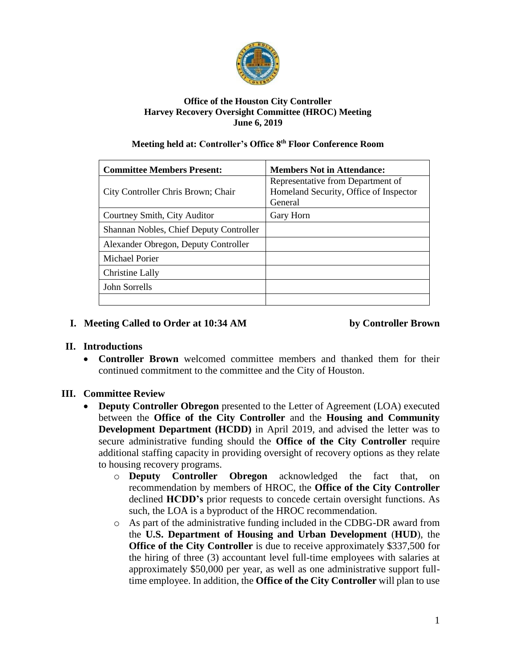

#### **Office of the Houston City Controller Harvey Recovery Oversight Committee (HROC) Meeting June 6, 2019**

#### **Meeting held at: Controller's Office 8th Floor Conference Room**

| <b>Committee Members Present:</b>       | <b>Members Not in Attendance:</b>      |
|-----------------------------------------|----------------------------------------|
| City Controller Chris Brown; Chair      | Representative from Department of      |
|                                         | Homeland Security, Office of Inspector |
|                                         | General                                |
| Courtney Smith, City Auditor            | Gary Horn                              |
| Shannan Nobles, Chief Deputy Controller |                                        |
| Alexander Obregon, Deputy Controller    |                                        |
| Michael Porier                          |                                        |
| Christine Lally                         |                                        |
| John Sorrells                           |                                        |
|                                         |                                        |

#### **I. Meeting Called to Order at 10:34 AM by Controller Brown**

# **II. Introductions**

• **Controller Brown** welcomed committee members and thanked them for their continued commitment to the committee and the City of Houston.

# **III. Committee Review**

- **Deputy Controller Obregon** presented to the Letter of Agreement (LOA) executed between the **Office of the City Controller** and the **Housing and Community Development Department (HCDD)** in April 2019, and advised the letter was to secure administrative funding should the **Office of the City Controller** require additional staffing capacity in providing oversight of recovery options as they relate to housing recovery programs.
	- o **Deputy Controller Obregon** acknowledged the fact that, on recommendation by members of HROC, the **Office of the City Controller** declined **HCDD's** prior requests to concede certain oversight functions. As such, the LOA is a byproduct of the HROC recommendation.
	- o As part of the administrative funding included in the CDBG-DR award from the **U.S. Department of Housing and Urban Development** (**HUD**), the **Office of the City Controller** is due to receive approximately \$337,500 for the hiring of three (3) accountant level full-time employees with salaries at approximately \$50,000 per year, as well as one administrative support fulltime employee. In addition, the **Office of the City Controller** will plan to use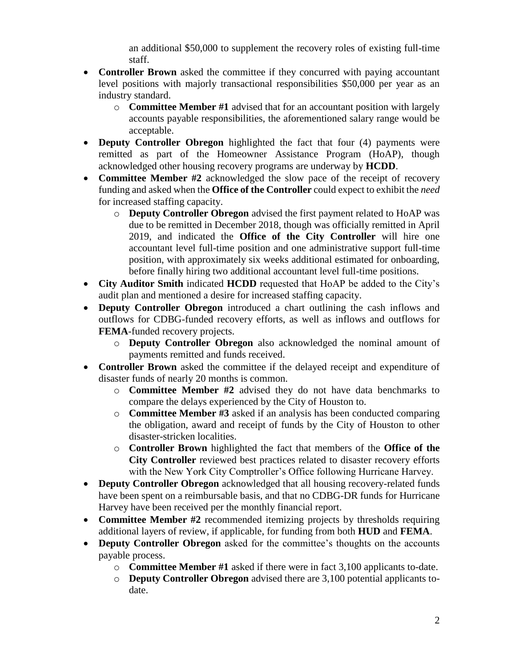an additional \$50,000 to supplement the recovery roles of existing full-time staff.

- **Controller Brown** asked the committee if they concurred with paying accountant level positions with majorly transactional responsibilities \$50,000 per year as an industry standard.
	- o **Committee Member #1** advised that for an accountant position with largely accounts payable responsibilities, the aforementioned salary range would be acceptable.
- **Deputy Controller Obregon** highlighted the fact that four (4) payments were remitted as part of the Homeowner Assistance Program (HoAP), though acknowledged other housing recovery programs are underway by **HCDD**.
- **Committee Member #2** acknowledged the slow pace of the receipt of recovery funding and asked when the **Office of the Controller** could expect to exhibit the *need* for increased staffing capacity.
	- o **Deputy Controller Obregon** advised the first payment related to HoAP was due to be remitted in December 2018, though was officially remitted in April 2019, and indicated the **Office of the City Controller** will hire one accountant level full-time position and one administrative support full-time position, with approximately six weeks additional estimated for onboarding, before finally hiring two additional accountant level full-time positions.
- **City Auditor Smith** indicated **HCDD** requested that HoAP be added to the City's audit plan and mentioned a desire for increased staffing capacity.
- **Deputy Controller Obregon** introduced a chart outlining the cash inflows and outflows for CDBG-funded recovery efforts, as well as inflows and outflows for **FEMA**-funded recovery projects.
	- o **Deputy Controller Obregon** also acknowledged the nominal amount of payments remitted and funds received.
- **Controller Brown** asked the committee if the delayed receipt and expenditure of disaster funds of nearly 20 months is common.
	- o **Committee Member #2** advised they do not have data benchmarks to compare the delays experienced by the City of Houston to.
	- o **Committee Member #3** asked if an analysis has been conducted comparing the obligation, award and receipt of funds by the City of Houston to other disaster-stricken localities.
	- o **Controller Brown** highlighted the fact that members of the **Office of the City Controller** reviewed best practices related to disaster recovery efforts with the New York City Comptroller's Office following Hurricane Harvey.
- **Deputy Controller Obregon** acknowledged that all housing recovery-related funds have been spent on a reimbursable basis, and that no CDBG-DR funds for Hurricane Harvey have been received per the monthly financial report.
- **Committee Member #2** recommended itemizing projects by thresholds requiring additional layers of review, if applicable, for funding from both **HUD** and **FEMA**.
- **Deputy Controller Obregon** asked for the committee's thoughts on the accounts payable process.
	- o **Committee Member #1** asked if there were in fact 3,100 applicants to-date.
	- o **Deputy Controller Obregon** advised there are 3,100 potential applicants todate.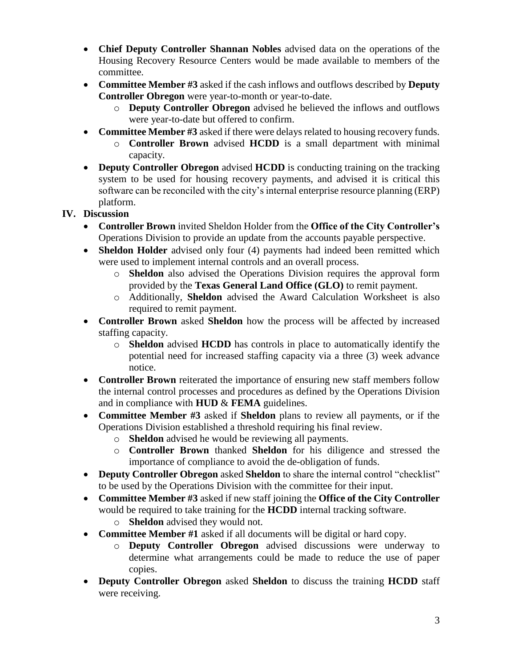- **Chief Deputy Controller Shannan Nobles** advised data on the operations of the Housing Recovery Resource Centers would be made available to members of the committee.
- **Committee Member #3** asked if the cash inflows and outflows described by **Deputy Controller Obregon** were year-to-month or year-to-date.
	- o **Deputy Controller Obregon** advised he believed the inflows and outflows were year-to-date but offered to confirm.
- **Committee Member #3** asked if there were delays related to housing recovery funds.
	- o **Controller Brown** advised **HCDD** is a small department with minimal capacity.
- **Deputy Controller Obregon** advised **HCDD** is conducting training on the tracking system to be used for housing recovery payments, and advised it is critical this software can be reconciled with the city's internal enterprise resource planning (ERP) platform.

#### **IV. Discussion**

- **Controller Brown** invited Sheldon Holder from the **Office of the City Controller's** Operations Division to provide an update from the accounts payable perspective.
- **Sheldon Holder** advised only four (4) payments had indeed been remitted which were used to implement internal controls and an overall process.
	- o **Sheldon** also advised the Operations Division requires the approval form provided by the **Texas General Land Office (GLO)** to remit payment.
	- o Additionally, **Sheldon** advised the Award Calculation Worksheet is also required to remit payment.
- **Controller Brown** asked **Sheldon** how the process will be affected by increased staffing capacity.
	- o **Sheldon** advised **HCDD** has controls in place to automatically identify the potential need for increased staffing capacity via a three (3) week advance notice.
- **Controller Brown** reiterated the importance of ensuring new staff members follow the internal control processes and procedures as defined by the Operations Division and in compliance with **HUD** & **FEMA** guidelines.
- **Committee Member #3** asked if **Sheldon** plans to review all payments, or if the Operations Division established a threshold requiring his final review.
	- o **Sheldon** advised he would be reviewing all payments.
	- o **Controller Brown** thanked **Sheldon** for his diligence and stressed the importance of compliance to avoid the de-obligation of funds.
- **Deputy Controller Obregon** asked **Sheldon** to share the internal control "checklist" to be used by the Operations Division with the committee for their input.
- **Committee Member #3** asked if new staff joining the **Office of the City Controller** would be required to take training for the **HCDD** internal tracking software.
	- o **Sheldon** advised they would not.
- **Committee Member #1** asked if all documents will be digital or hard copy.
	- o **Deputy Controller Obregon** advised discussions were underway to determine what arrangements could be made to reduce the use of paper copies.
- **Deputy Controller Obregon** asked **Sheldon** to discuss the training **HCDD** staff were receiving.